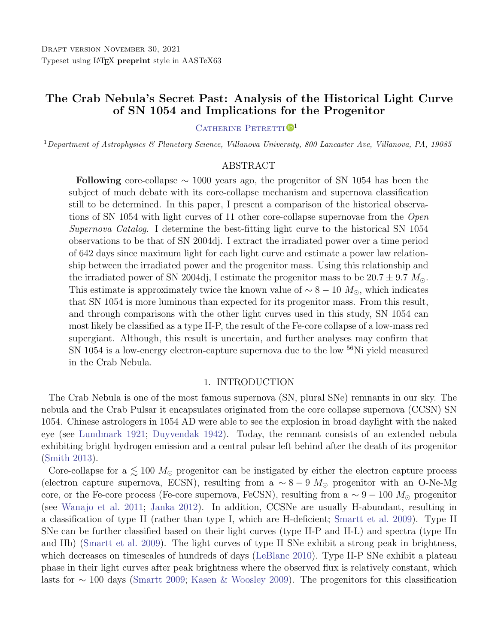# The Crab Nebula's Secret Past: Analysis of the Historical Light Curve of SN 1054 and Implications for the Progenitor

# CATHERINE PETRETTI<sup>D1</sup>

<sup>1</sup>Department of Astrophysics & Planetary Science, Villanova University, 800 Lancaster Ave, Villanova, PA, 19085

# ABSTRACT

Following core-collapse  $\sim$  1000 years ago, the progenitor of SN 1054 has been the subject of much debate with its core-collapse mechanism and supernova classification still to be determined. In this paper, I present a comparison of the historical observations of SN 1054 with light curves of 11 other core-collapse supernovae from the Open Supernova Catalog. I determine the best-fitting light curve to the historical SN 1054 observations to be that of SN 2004dj. I extract the irradiated power over a time period of 642 days since maximum light for each light curve and estimate a power law relationship between the irradiated power and the progenitor mass. Using this relationship and the irradiated power of SN 2004dj, I estimate the progenitor mass to be  $20.7 \pm 9.7$   $M_{\odot}$ . This estimate is approximately twice the known value of  $\sim 8 - 10$  M<sub>o</sub>, which indicates that SN 1054 is more luminous than expected for its progenitor mass. From this result, and through comparisons with the other light curves used in this study, SN 1054 can most likely be classified as a type II-P, the result of the Fe-core collapse of a low-mass red supergiant. Although, this result is uncertain, and further analyses may confirm that SN 1054 is a low-energy electron-capture supernova due to the low <sup>56</sup>Ni yield measured in the Crab Nebula.

## 1. INTRODUCTION

The Crab Nebula is one of the most famous supernova (SN, plural SNe) remnants in our sky. The nebula and the Crab Pulsar it encapsulates originated from the core collapse supernova (CCSN) SN 1054. Chinese astrologers in 1054 AD were able to see the explosion in broad daylight with the naked eye (see [Lundmark](#page-8-0) [1921;](#page-8-0) [Duyvendak](#page-7-0) [1942\)](#page-7-0). Today, the remnant consists of an extended nebula exhibiting bright hydrogen emission and a central pulsar left behind after the death of its progenitor [\(Smith](#page-8-1) [2013\)](#page-8-1).

Core-collapse for a  $\lesssim 100 M_{\odot}$  progenitor can be instigated by either the electron capture process (electron capture supernova, ECSN), resulting from a  $\sim 8-9$  M<sub>o</sub> progenitor with an O-Ne-Mg core, or the Fe-core process (Fe-core supernova, FeCSN), resulting from a  $\sim 9 - 100$   $M_{\odot}$  progenitor (see [Wanajo et al.](#page-8-2) [2011;](#page-8-2) [Janka](#page-7-1) [2012\)](#page-7-1). In addition, CCSNe are usually H-abundant, resulting in a classification of type II (rather than type I, which are H-deficient; [Smartt et al.](#page-8-3) [2009\)](#page-8-3). Type II SNe can be further classified based on their light curves (type II-P and II-L) and spectra (type IIn and IIb) [\(Smartt et al.](#page-8-3) [2009\)](#page-8-3). The light curves of type II SNe exhibit a strong peak in brightness, which decreases on timescales of hundreds of days [\(LeBlanc](#page-8-4) [2010\)](#page-8-4). Type II-P SNe exhibit a plateau phase in their light curves after peak brightness where the observed flux is relatively constant, which lasts for ∼ 100 days [\(Smartt](#page-8-5) [2009;](#page-8-5) [Kasen & Woosley](#page-7-2) [2009\)](#page-7-2). The progenitors for this classification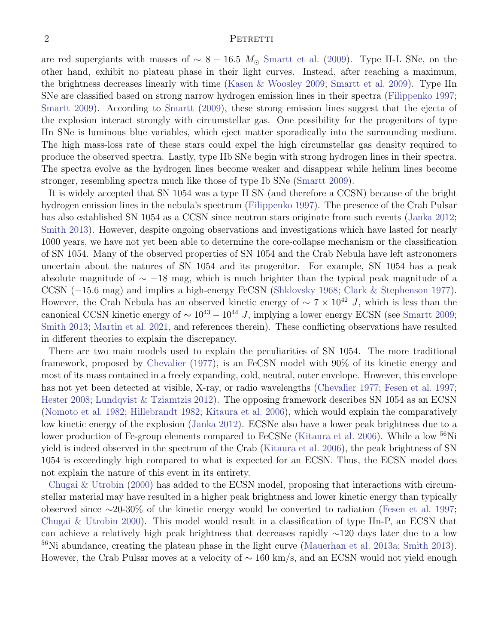#### 2 PETRETTI

are red supergiants with masses of  $\sim 8 - 16.5$  M<sub>⊙</sub> [Smartt et al.](#page-8-3) [\(2009\)](#page-8-3). Type II-L SNe, on the other hand, exhibit no plateau phase in their light curves. Instead, after reaching a maximum, the brightness decreases linearly with time [\(Kasen & Woosley](#page-7-2) [2009;](#page-7-2) [Smartt et al.](#page-8-3) [2009\)](#page-8-3). Type IIn SNe are classified based on strong narrow hydrogen emission lines in their spectra [\(Filippenko](#page-7-3) [1997;](#page-7-3) [Smartt](#page-8-5) [2009\)](#page-8-5). According to [Smartt](#page-8-5) [\(2009\)](#page-8-5), these strong emission lines suggest that the ejecta of the explosion interact strongly with circumstellar gas. One possibility for the progenitors of type IIn SNe is luminous blue variables, which eject matter sporadically into the surrounding medium. The high mass-loss rate of these stars could expel the high circumstellar gas density required to produce the observed spectra. Lastly, type IIb SNe begin with strong hydrogen lines in their spectra. The spectra evolve as the hydrogen lines become weaker and disappear while helium lines become stronger, resembling spectra much like those of type Ib SNe [\(Smartt](#page-8-5) [2009\)](#page-8-5).

It is widely accepted that SN 1054 was a type II SN (and therefore a CCSN) because of the bright hydrogen emission lines in the nebula's spectrum [\(Filippenko](#page-7-3) [1997\)](#page-7-3). The presence of the Crab Pulsar has also established SN 1054 as a CCSN since neutron stars originate from such events [\(Janka](#page-7-1) [2012;](#page-7-1) [Smith](#page-8-1) [2013\)](#page-8-1). However, despite ongoing observations and investigations which have lasted for nearly 1000 years, we have not yet been able to determine the core-collapse mechanism or the classification of SN 1054. Many of the observed properties of SN 1054 and the Crab Nebula have left astronomers uncertain about the natures of SN 1054 and its progenitor. For example, SN 1054 has a peak absolute magnitude of  $\sim$  −18 mag, which is much brighter than the typical peak magnitude of a CCSN (−15.6 mag) and implies a high-energy FeCSN [\(Shklovsky](#page-8-6) [1968;](#page-8-6) [Clark & Stephenson](#page-7-4) [1977\)](#page-7-4). However, the Crab Nebula has an observed kinetic energy of  $\sim 7 \times 10^{42}$  J, which is less than the canonical CCSN kinetic energy of  $\sim 10^{43} - 10^{44}$  J, implying a lower energy ECSN (see [Smartt](#page-8-5) [2009;](#page-8-5) [Smith](#page-8-1) [2013;](#page-8-1) [Martin et al.](#page-8-7) [2021,](#page-8-7) and references therein). These conflicting observations have resulted in different theories to explain the discrepancy.

There are two main models used to explain the peculiarities of SN 1054. The more traditional framework, proposed by [Chevalier](#page-7-5) [\(1977\)](#page-7-5), is an FeCSN model with 90% of its kinetic energy and most of its mass contained in a freely expanding, cold, neutral, outer envelope. However, this envelope has not yet been detected at visible, X-ray, or radio wavelengths [\(Chevalier](#page-7-5) [1977;](#page-7-5) [Fesen et al.](#page-7-6) [1997;](#page-7-6) [Hester](#page-7-7) [2008;](#page-7-7) [Lundqvist & Tziamtzis](#page-8-8) [2012\)](#page-8-8). The opposing framework describes SN 1054 as an ECSN [\(Nomoto et al.](#page-8-9) [1982;](#page-8-9) [Hillebrandt](#page-7-8) [1982;](#page-7-8) [Kitaura et al.](#page-7-9) [2006\)](#page-7-9), which would explain the comparatively low kinetic energy of the explosion [\(Janka](#page-7-1) [2012\)](#page-7-1). ECSNe also have a lower peak brightness due to a lower production of Fe-group elements compared to FeCSNe [\(Kitaura et al.](#page-7-9) [2006\)](#page-7-9). While a low  $^{56}$ Ni yield is indeed observed in the spectrum of the Crab [\(Kitaura et al.](#page-7-9) [2006\)](#page-7-9), the peak brightness of SN 1054 is exceedingly high compared to what is expected for an ECSN. Thus, the ECSN model does not explain the nature of this event in its entirety.

[Chugai & Utrobin](#page-7-10) [\(2000\)](#page-7-10) has added to the ECSN model, proposing that interactions with circumstellar material may have resulted in a higher peak brightness and lower kinetic energy than typically observed since ∼20-30% of the kinetic energy would be converted to radiation [\(Fesen et al.](#page-7-6) [1997;](#page-7-6) [Chugai & Utrobin](#page-7-10) [2000\)](#page-7-10). This model would result in a classification of type IIn-P, an ECSN that can achieve a relatively high peak brightness that decreases rapidly ∼120 days later due to a low <sup>56</sup>Ni abundance, creating the plateau phase in the light curve [\(Mauerhan et al.](#page-8-10) [2013a;](#page-8-10) [Smith](#page-8-1) [2013\)](#page-8-1). However, the Crab Pulsar moves at a velocity of ∼ 160 km/s, and an ECSN would not yield enough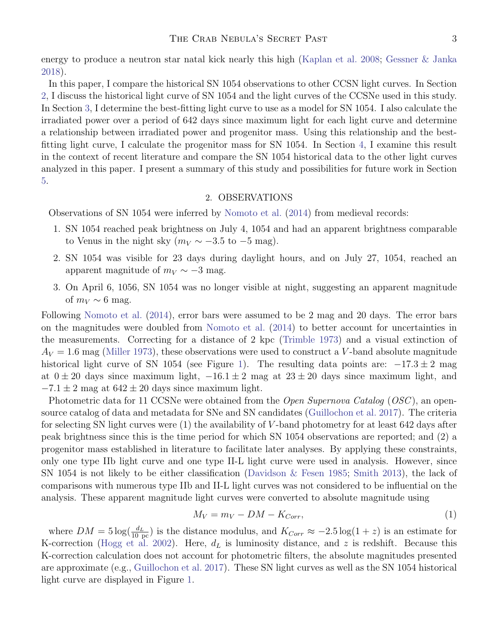energy to produce a neutron star natal kick nearly this high [\(Kaplan et al.](#page-7-11) [2008;](#page-7-11) [Gessner & Janka](#page-7-12) [2018\)](#page-7-12).

In this paper, I compare the historical SN 1054 observations to other CCSN light curves. In Section [2,](#page-2-0) I discuss the historical light curve of SN 1054 and the light curves of the CCSNe used in this study. In Section [3,](#page-3-0) I determine the best-fitting light curve to use as a model for SN 1054. I also calculate the irradiated power over a period of 642 days since maximum light for each light curve and determine a relationship between irradiated power and progenitor mass. Using this relationship and the bestfitting light curve, I calculate the progenitor mass for SN 1054. In Section [4,](#page-4-0) I examine this result in the context of recent literature and compare the SN 1054 historical data to the other light curves analyzed in this paper. I present a summary of this study and possibilities for future work in Section [5.](#page-6-0)

### 2. OBSERVATIONS

<span id="page-2-0"></span>Observations of SN 1054 were inferred by [Nomoto et al.](#page-8-11) [\(2014\)](#page-8-11) from medieval records:

- 1. SN 1054 reached peak brightness on July 4, 1054 and had an apparent brightness comparable to Venus in the night sky ( $m_V \sim -3.5$  to  $-5$  mag).
- 2. SN 1054 was visible for 23 days during daylight hours, and on July 27, 1054, reached an apparent magnitude of  $m_V \sim -3$  mag.
- 3. On April 6, 1056, SN 1054 was no longer visible at night, suggesting an apparent magnitude of  $m_V \sim 6$  mag.

Following [Nomoto et al.](#page-8-11) [\(2014\)](#page-8-11), error bars were assumed to be 2 mag and 20 days. The error bars on the magnitudes were doubled from [Nomoto et al.](#page-8-11) [\(2014\)](#page-8-11) to better account for uncertainties in the measurements. Correcting for a distance of 2 kpc [\(Trimble](#page-8-12) [1973\)](#page-8-12) and a visual extinction of  $A_V = 1.6$  mag [\(Miller](#page-8-13) [1973\)](#page-8-13), these observations were used to construct a V-band absolute magnitude historical light curve of SN 1054 (see Figure [1\)](#page-3-1). The resulting data points are:  $-17.3 \pm 2$  mag at  $0 \pm 20$  days since maximum light,  $-16.1 \pm 2$  mag at  $23 \pm 20$  days since maximum light, and  $-7.1 \pm 2$  mag at  $642 \pm 20$  days since maximum light.

Photometric data for 11 CCSNe were obtained from the *Open Supernova Catalog* (*OSC*), an opensource catalog of data and metadata for SNe and SN candidates [\(Guillochon et al.](#page-7-13) [2017\)](#page-7-13). The criteria for selecting SN light curves were (1) the availability of V -band photometry for at least 642 days after peak brightness since this is the time period for which SN 1054 observations are reported; and (2) a progenitor mass established in literature to facilitate later analyses. By applying these constraints, only one type IIb light curve and one type II-L light curve were used in analysis. However, since SN 1054 is not likely to be either classification [\(Davidson & Fesen](#page-7-14) [1985;](#page-7-14) [Smith](#page-8-1) [2013\)](#page-8-1), the lack of comparisons with numerous type IIb and II-L light curves was not considered to be influential on the analysis. These apparent magnitude light curves were converted to absolute magnitude using

$$
M_V = m_V - DM - K_{Corr},\tag{1}
$$

where  $DM = 5 \log(\frac{d_L}{10 \text{ pc}})$  is the distance modulus, and  $K_{Corr} \approx -2.5 \log(1+z)$  is an estimate for K-correction [\(Hogg et al.](#page-7-15) [2002\)](#page-7-15). Here,  $d<sub>L</sub>$  is luminosity distance, and z is redshift. Because this K-correction calculation does not account for photometric filters, the absolute magnitudes presented are approximate (e.g., [Guillochon et al.](#page-7-13) [2017\)](#page-7-13). These SN light curves as well as the SN 1054 historical light curve are displayed in Figure [1.](#page-3-1)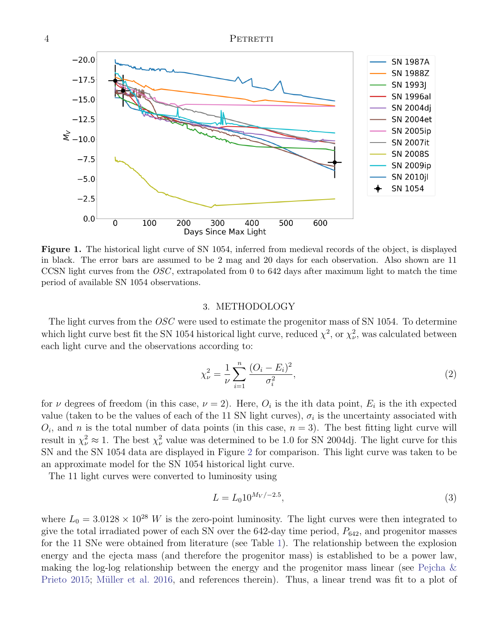

<span id="page-3-1"></span>Figure 1. The historical light curve of SN 1054, inferred from medieval records of the object, is displayed in black. The error bars are assumed to be 2 mag and 20 days for each observation. Also shown are 11 CCSN light curves from the  $OSC$ , extrapolated from 0 to 642 days after maximum light to match the time period of available SN 1054 observations.

#### 3. METHODOLOGY

<span id="page-3-0"></span>The light curves from the OSC were used to estimate the progenitor mass of SN 1054. To determine which light curve best fit the SN 1054 historical light curve, reduced  $\chi^2$ , or  $\chi^2_{\nu}$ , was calculated between each light curve and the observations according to:

$$
\chi_{\nu}^{2} = \frac{1}{\nu} \sum_{i=1}^{n} \frac{(O_{i} - E_{i})^{2}}{\sigma_{i}^{2}},\tag{2}
$$

for  $\nu$  degrees of freedom (in this case,  $\nu = 2$ ). Here,  $O_i$  is the ith data point,  $E_i$  is the ith expected value (taken to be the values of each of the 11 SN light curves),  $\sigma_i$  is the uncertainty associated with  $O_i$ , and n is the total number of data points (in this case,  $n = 3$ ). The best fitting light curve will result in  $\chi^2_{\nu} \approx 1$ . The best  $\chi^2_{\nu}$  value was determined to be 1.0 for SN 2004dj. The light curve for this SN and the SN 1054 data are displayed in Figure [2](#page-4-1) for comparison. This light curve was taken to be an approximate model for the SN 1054 historical light curve.

The 11 light curves were converted to luminosity using

$$
L = L_0 10^{M_V / -2.5},\tag{3}
$$

where  $L_0 = 3.0128 \times 10^{28}$  W is the zero-point luminosity. The light curves were then integrated to give the total irradiated power of each SN over the  $642$ -day time period,  $P_{642}$ , and progenitor masses for the 11 SNe were obtained from literature (see Table [1\)](#page-6-1). The relationship between the explosion energy and the ejecta mass (and therefore the progenitor mass) is established to be a power law, making the log-log relationship between the energy and the progenitor mass linear (see [Pejcha &](#page-8-14) [Prieto](#page-8-14) [2015;](#page-8-14) Müller et al. [2016,](#page-8-15) and references therein). Thus, a linear trend was fit to a plot of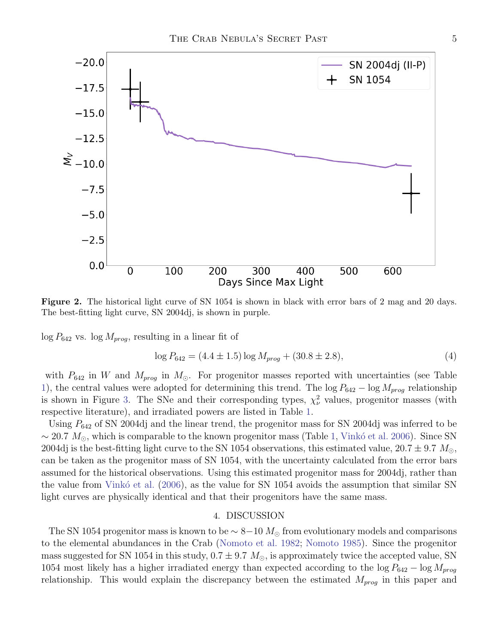

<span id="page-4-1"></span>Figure 2. The historical light curve of SN 1054 is shown in black with error bars of 2 mag and 20 days. The best-fitting light curve, SN 2004dj, is shown in purple.

 $\log P_{642}$  vs.  $\log M_{prog}$ , resulting in a linear fit of

$$
\log P_{642} = (4.4 \pm 1.5) \log M_{prog} + (30.8 \pm 2.8),\tag{4}
$$

with  $P_{642}$  in W and  $M_{prog}$  in  $M_{\odot}$ . For progenitor masses reported with uncertainties (see Table [1\)](#page-6-1), the central values were adopted for determining this trend. The  $\log P_{642} - \log M_{prog}$  relationship is shown in Figure [3.](#page-5-0) The SNe and their corresponding types,  $\chi^2_{\nu}$  values, progenitor masses (with respective literature), and irradiated powers are listed in Table [1.](#page-6-1)

Using  $P_{642}$  of SN 2004dj and the linear trend, the progenitor mass for SN 2004dj was inferred to be ~ 20.7  $M_{\odot}$ , which is comparable to the known progenitor mass (Table [1,](#page-6-1) Vinkó et al. [2006\)](#page-8-16). Since SN 2004dj is the best-fitting light curve to the SN 1054 observations, this estimated value,  $20.7 \pm 9.7$   $M_{\odot}$ , can be taken as the progenitor mass of SN 1054, with the uncertainty calculated from the error bars assumed for the historical observations. Using this estimated progenitor mass for 2004dj, rather than the value from Vink $\acute{o}$  et al. [\(2006\)](#page-8-16), as the value for SN 1054 avoids the assumption that similar SN light curves are physically identical and that their progenitors have the same mass.

### 4. DISCUSSION

<span id="page-4-0"></span>The SN 1054 progenitor mass is known to be  $\sim 8-10 M_{\odot}$  from evolutionary models and comparisons to the elemental abundances in the Crab [\(Nomoto et al.](#page-8-9) [1982;](#page-8-9) [Nomoto](#page-8-17) [1985\)](#page-8-17). Since the progenitor mass suggested for SN 1054 in this study,  $0.7 \pm 9.7$   $M_{\odot}$ , is approximately twice the accepted value, SN 1054 most likely has a higher irradiated energy than expected according to the  $\log P_{642} - \log M_{prog}$ relationship. This would explain the discrepancy between the estimated  $M_{prog}$  in this paper and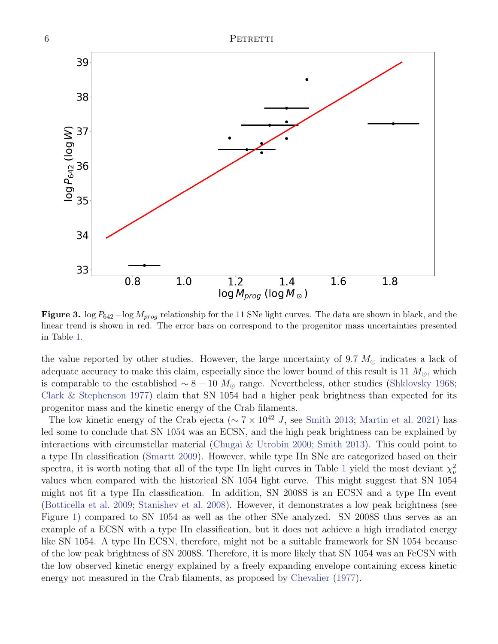

Figure 3. log  $P_{642}$  -log  $M_{prog}$  relationship for the 11 SNe light curves. The data are shown in black, and the linear trend is shown in red. The error bars on correspond to the progenitor mass uncertainties presented in Table [1.](#page-6-1)

 $log M_{prog}$  ( $log M_{\odot}$ )

 $1.4$ 

 $1.6$ 

 $1.8$ 

 $1.2$ 

the value reported by other studies. However, the large uncertainty of 9.7  $M_{\odot}$  indicates a lack of adequate accuracy to make this claim, especially since the lower bound of this result is 11  $M_{\odot}$ , which is comparable to the established  $\sim 8 - 10 M_{\odot}$  range. Nevertheless, other studies [\(Shklovsky](#page-8-6) [1968;](#page-8-6) [Clark & Stephenson](#page-7-4) [1977\)](#page-7-4) claim that SN 1054 had a higher peak brightness than expected for its progenitor mass and the kinetic energy of the Crab filaments.

The low kinetic energy of the Crab ejecta ( $\sim 7 \times 10^{42}$  J, see [Smith](#page-8-1) [2013;](#page-8-1) [Martin et al.](#page-8-7) [2021\)](#page-8-7) has led some to conclude that SN 1054 was an ECSN, and the high peak brightness can be explained by interactions with circumstellar material [\(Chugai & Utrobin](#page-7-10) [2000;](#page-7-10) [Smith](#page-8-1) [2013\)](#page-8-1). This could point to a type IIn classification [\(Smartt](#page-8-5) [2009\)](#page-8-5). However, while type IIn SNe are categorized based on their spectra, it is worth noting that all of the type IIn light curves in Table [1](#page-6-1) yield the most deviant  $\chi^2_{\nu}$ values when compared with the historical SN 1054 light curve. This might suggest that SN 1054 might not fit a type IIn classification. In addition, SN 2008S is an ECSN and a type IIn event [\(Botticella et al.](#page-7-16) [2009;](#page-7-16) [Stanishev et al.](#page-8-18) [2008\)](#page-8-18). However, it demonstrates a low peak brightness (see Figure [1\)](#page-3-1) compared to SN 1054 as well as the other SNe analyzed. SN 2008S thus serves as an example of a ECSN with a type IIn classification, but it does not achieve a high irradiated energy like SN 1054. A type IIn ECSN, therefore, might not be a suitable framework for SN 1054 because of the low peak brightness of SN 2008S. Therefore, it is more likely that SN 1054 was an FeCSN with the low observed kinetic energy explained by a freely expanding envelope containing excess kinetic energy not measured in the Crab filaments, as proposed by [Chevalier](#page-7-5) [\(1977\)](#page-7-5).

34

<span id="page-5-0"></span>33

 $0.8$ 

 $1.0$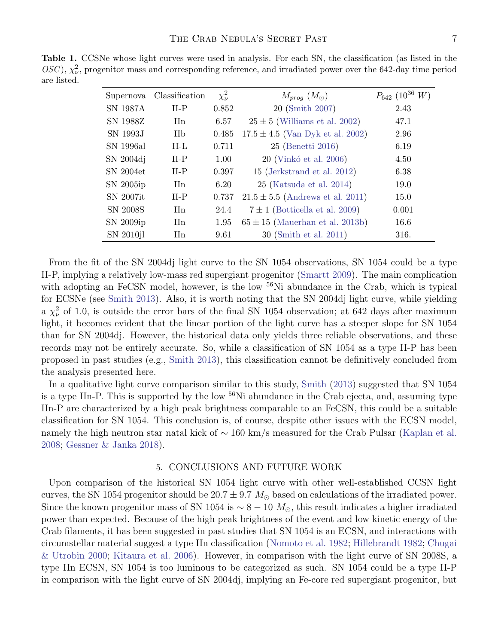<span id="page-6-1"></span>Table 1. CCSNe whose light curves were used in analysis. For each SN, the classification (as listed in the OSC),  $\chi^2_{\nu}$ , progenitor mass and corresponding reference, and irradiated power over the 642-day time period are listed.

| Supernova       | Classification        | $\chi^2_{\nu}$ | $M_{prog} (M_{\odot})$               | $P_{642}$ (10 <sup>36</sup> )<br>W |
|-----------------|-----------------------|----------------|--------------------------------------|------------------------------------|
| <b>SN 1987A</b> | $II-P$                | 0.852          | 20 (Smith 2007)                      | 2.43                               |
| SN 1988Z        | II <sub>n</sub>       | 6.57           | $25 \pm 5$ (Williams et al. 2002)    | 47.1                               |
| SN 1993J        | <b>IIb</b>            | 0.485          | $17.5 \pm 4.5$ (Van Dyk et al. 2002) | 2.96                               |
| SN 1996al       | $II-L$                | 0.711          | 25 (Benetti 2016)                    | 6.19                               |
| SN 2004dj       | $II-P$                | 1.00           | 20 (Vinkó et al. 2006)               | 4.50                               |
| SN 2004et       | $II-P$                | 0.397          | 15 (Jerkstrand et al. 2012)          | 6.38                               |
| SN 2005ip       | II <sub>n</sub>       | 6.20           | $25$ (Katsuda et al. 2014)           | 19.0                               |
| SN 2007it       | $II-P$                | 0.737          | $21.5 \pm 5.5$ (Andrews et al. 2011) | 15.0                               |
| <b>SN 2008S</b> | $\text{I}$ In         | 24.4           | $7 \pm 1$ (Botticella et al. 2009)   | 0.001                              |
| SN 2009ip       | <b>H</b> <sub>n</sub> | 1.95           | $65 \pm 15$ (Mauerhan et al. 2013b)  | 16.6                               |
| SN 2010jl       | <b>II</b> n           | 9.61           | 30 (Smith et al. 2011)               | 316.                               |

From the fit of the SN 2004dj light curve to the SN 1054 observations, SN 1054 could be a type II-P, implying a relatively low-mass red supergiant progenitor [\(Smartt](#page-8-5) [2009\)](#page-8-5). The main complication with adopting an FeCSN model, however, is the low <sup>56</sup>Ni abundance in the Crab, which is typical for ECSNe (see [Smith](#page-8-1) [2013\)](#page-8-1). Also, it is worth noting that the SN 2004dj light curve, while yielding a  $\chi^2_{\nu}$  of 1.0, is outside the error bars of the final SN 1054 observation; at 642 days after maximum light, it becomes evident that the linear portion of the light curve has a steeper slope for SN 1054 than for SN 2004dj. However, the historical data only yields three reliable observations, and these records may not be entirely accurate. So, while a classification of SN 1054 as a type II-P has been proposed in past studies (e.g., [Smith](#page-8-1) [2013\)](#page-8-1), this classification cannot be definitively concluded from the analysis presented here.

In a qualitative light curve comparison similar to this study, [Smith](#page-8-1) [\(2013\)](#page-8-1) suggested that SN 1054 is a type IIn-P. This is supported by the low  $56\text{Ni}$  abundance in the Crab ejecta, and, assuming type IIn-P are characterized by a high peak brightness comparable to an FeCSN, this could be a suitable classification for SN 1054. This conclusion is, of course, despite other issues with the ECSN model, namely the high neutron star natal kick of ~ 160 km/s measured for the Crab Pulsar [\(Kaplan et al.](#page-7-11) [2008;](#page-7-11) [Gessner & Janka](#page-7-12) [2018\)](#page-7-12).

#### 5. CONCLUSIONS AND FUTURE WORK

<span id="page-6-0"></span>Upon comparison of the historical SN 1054 light curve with other well-established CCSN light curves, the SN 1054 progenitor should be  $20.7 \pm 9.7$   $M_{\odot}$  based on calculations of the irradiated power. Since the known progenitor mass of SN 1054 is  $\sim 8 - 10$  M<sub>⊙</sub>, this result indicates a higher irradiated power than expected. Because of the high peak brightness of the event and low kinetic energy of the Crab filaments, it has been suggested in past studies that SN 1054 is an ECSN, and interactions with circumstellar material suggest a type IIn classification [\(Nomoto et al.](#page-8-9) [1982;](#page-8-9) [Hillebrandt](#page-7-8) [1982;](#page-7-8) [Chugai](#page-7-10) [& Utrobin](#page-7-10) [2000;](#page-7-10) [Kitaura et al.](#page-7-9) [2006\)](#page-7-9). However, in comparison with the light curve of SN 2008S, a type IIn ECSN, SN 1054 is too luminous to be categorized as such. SN 1054 could be a type II-P in comparison with the light curve of SN 2004dj, implying an Fe-core red supergiant progenitor, but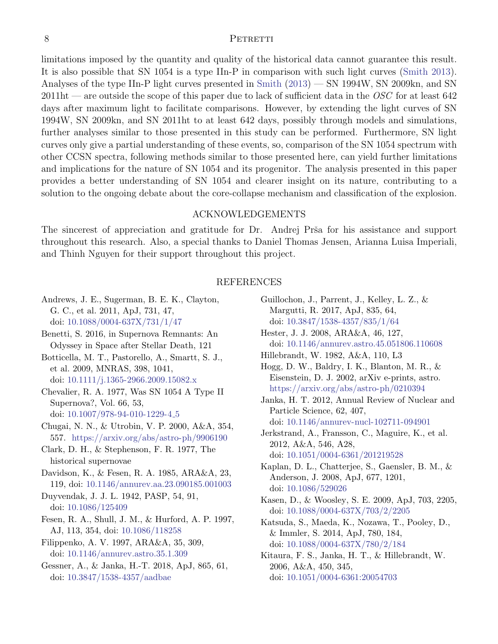#### 8 PETRETTI

limitations imposed by the quantity and quality of the historical data cannot guarantee this result. It is also possible that SN 1054 is a type IIn-P in comparison with such light curves [\(Smith](#page-8-1) [2013\)](#page-8-1). Analyses of the type IIn-P light curves presented in [Smith](#page-8-1) [\(2013\)](#page-8-1) — SN 1994W, SN 2009kn, and SN  $2011$ ht — are outside the scope of this paper due to lack of sufficient data in the OSC for at least 642 days after maximum light to facilitate comparisons. However, by extending the light curves of SN 1994W, SN 2009kn, and SN 2011ht to at least 642 days, possibly through models and simulations, further analyses similar to those presented in this study can be performed. Furthermore, SN light curves only give a partial understanding of these events, so, comparison of the SN 1054 spectrum with other CCSN spectra, following methods similar to those presented here, can yield further limitations and implications for the nature of SN 1054 and its progenitor. The analysis presented in this paper provides a better understanding of SN 1054 and clearer insight on its nature, contributing to a solution to the ongoing debate about the core-collapse mechanism and classification of the explosion.

## ACKNOWLEDGEMENTS

The sincerest of appreciation and gratitude for Dr. Andrej Prša for his assistance and support throughout this research. Also, a special thanks to Daniel Thomas Jensen, Arianna Luisa Imperiali, and Thinh Nguyen for their support throughout this project.

### REFERENCES

- <span id="page-7-20"></span>Andrews, J. E., Sugerman, B. E. K., Clayton, G. C., et al. 2011, ApJ, 731, 47, doi: [10.1088/0004-637X/731/1/47](http://doi.org/10.1088/0004-637X/731/1/47)
- <span id="page-7-17"></span>Benetti, S. 2016, in Supernova Remnants: An Odyssey in Space after Stellar Death, 121
- <span id="page-7-16"></span>Botticella, M. T., Pastorello, A., Smartt, S. J., et al. 2009, MNRAS, 398, 1041, doi: [10.1111/j.1365-2966.2009.15082.x](http://doi.org/10.1111/j.1365-2966.2009.15082.x)
- <span id="page-7-5"></span>Chevalier, R. A. 1977, Was SN 1054 A Type II Supernova?, Vol. 66, 53, doi: [10.1007/978-94-010-1229-4](http://doi.org/10.1007/978-94-010-1229-4_5) 5
- <span id="page-7-10"></span>Chugai, N. N., & Utrobin, V. P. 2000, A&A, 354, 557. <https://arxiv.org/abs/astro-ph/9906190>
- <span id="page-7-4"></span>Clark, D. H., & Stephenson, F. R. 1977, The historical supernovae
- <span id="page-7-14"></span>Davidson, K., & Fesen, R. A. 1985, ARA&A, 23, 119, doi: [10.1146/annurev.aa.23.090185.001003](http://doi.org/10.1146/annurev.aa.23.090185.001003)
- <span id="page-7-0"></span>Duyvendak, J. J. L. 1942, PASP, 54, 91, doi: [10.1086/125409](http://doi.org/10.1086/125409)
- <span id="page-7-6"></span>Fesen, R. A., Shull, J. M., & Hurford, A. P. 1997, AJ, 113, 354, doi: [10.1086/118258](http://doi.org/10.1086/118258)
- <span id="page-7-3"></span>Filippenko, A. V. 1997, ARA&A, 35, 309, doi: [10.1146/annurev.astro.35.1.309](http://doi.org/10.1146/annurev.astro.35.1.309)
- <span id="page-7-12"></span>Gessner, A., & Janka, H.-T. 2018, ApJ, 865, 61, doi: [10.3847/1538-4357/aadbae](http://doi.org/10.3847/1538-4357/aadbae)
- <span id="page-7-13"></span>Guillochon, J., Parrent, J., Kelley, L. Z., & Margutti, R. 2017, ApJ, 835, 64,
- doi: [10.3847/1538-4357/835/1/64](http://doi.org/10.3847/1538-4357/835/1/64)
- <span id="page-7-7"></span>Hester, J. J. 2008, ARA&A, 46, 127, doi: [10.1146/annurev.astro.45.051806.110608](http://doi.org/10.1146/annurev.astro.45.051806.110608)
- <span id="page-7-8"></span>Hillebrandt, W. 1982, A&A, 110, L3
- <span id="page-7-15"></span>Hogg, D. W., Baldry, I. K., Blanton, M. R., & Eisenstein, D. J. 2002, arXiv e-prints, astro. <https://arxiv.org/abs/astro-ph/0210394>
- <span id="page-7-1"></span>Janka, H. T. 2012, Annual Review of Nuclear and Particle Science, 62, 407, doi: [10.1146/annurev-nucl-102711-094901](http://doi.org/10.1146/annurev-nucl-102711-094901)
- <span id="page-7-18"></span>Jerkstrand, A., Fransson, C., Maguire, K., et al. 2012, A&A, 546, A28, doi: [10.1051/0004-6361/201219528](http://doi.org/10.1051/0004-6361/201219528)
- <span id="page-7-11"></span>Kaplan, D. L., Chatterjee, S., Gaensler, B. M., & Anderson, J. 2008, ApJ, 677, 1201, doi: [10.1086/529026](http://doi.org/10.1086/529026)
- <span id="page-7-2"></span>Kasen, D., & Woosley, S. E. 2009, ApJ, 703, 2205, doi: [10.1088/0004-637X/703/2/2205](http://doi.org/10.1088/0004-637X/703/2/2205)
- <span id="page-7-19"></span>Katsuda, S., Maeda, K., Nozawa, T., Pooley, D., & Immler, S. 2014, ApJ, 780, 184, doi: [10.1088/0004-637X/780/2/184](http://doi.org/10.1088/0004-637X/780/2/184)
- <span id="page-7-9"></span>Kitaura, F. S., Janka, H. T., & Hillebrandt, W. 2006, A&A, 450, 345, doi: [10.1051/0004-6361:20054703](http://doi.org/10.1051/0004-6361:20054703)